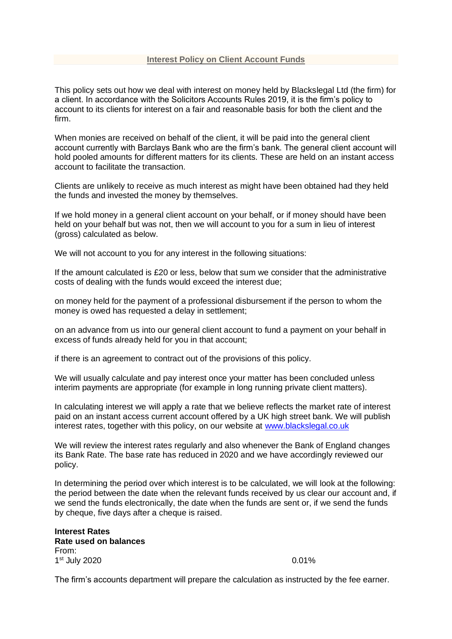This policy sets out how we deal with interest on money held by Blackslegal Ltd (the firm) for a client. In accordance with the Solicitors Accounts Rules 2019, it is the firm's policy to account to its clients for interest on a fair and reasonable basis for both the client and the firm.

When monies are received on behalf of the client, it will be paid into the general client account currently with Barclays Bank who are the firm's bank. The general client account will hold pooled amounts for different matters for its clients. These are held on an instant access account to facilitate the transaction.

Clients are unlikely to receive as much interest as might have been obtained had they held the funds and invested the money by themselves.

If we hold money in a general client account on your behalf, or if money should have been held on your behalf but was not, then we will account to you for a sum in lieu of interest (gross) calculated as below.

We will not account to you for any interest in the following situations:

If the amount calculated is £20 or less, below that sum we consider that the administrative costs of dealing with the funds would exceed the interest due;

on money held for the payment of a professional disbursement if the person to whom the money is owed has requested a delay in settlement:

on an advance from us into our general client account to fund a payment on your behalf in excess of funds already held for you in that account;

if there is an agreement to contract out of the provisions of this policy.

We will usually calculate and pay interest once your matter has been concluded unless interim payments are appropriate (for example in long running private client matters).

In calculating interest we will apply a rate that we believe reflects the market rate of interest paid on an instant access current account offered by a UK high street bank. We will publish interest rates, together with this policy, on our website at [www.blackslegal.co.uk](http://www.blackslegal.co.uk/)

We will review the interest rates regularly and also whenever the Bank of England changes its Bank Rate. The base rate has reduced in 2020 and we have accordingly reviewed our policy.

In determining the period over which interest is to be calculated, we will look at the following: the period between the date when the relevant funds received by us clear our account and, if we send the funds electronically, the date when the funds are sent or, if we send the funds by cheque, five days after a cheque is raised.

**Interest Rates Rate used on balances** From: 1<sup>st</sup> July 2020 **0.01%** 0.01%

The firm's accounts department will prepare the calculation as instructed by the fee earner.